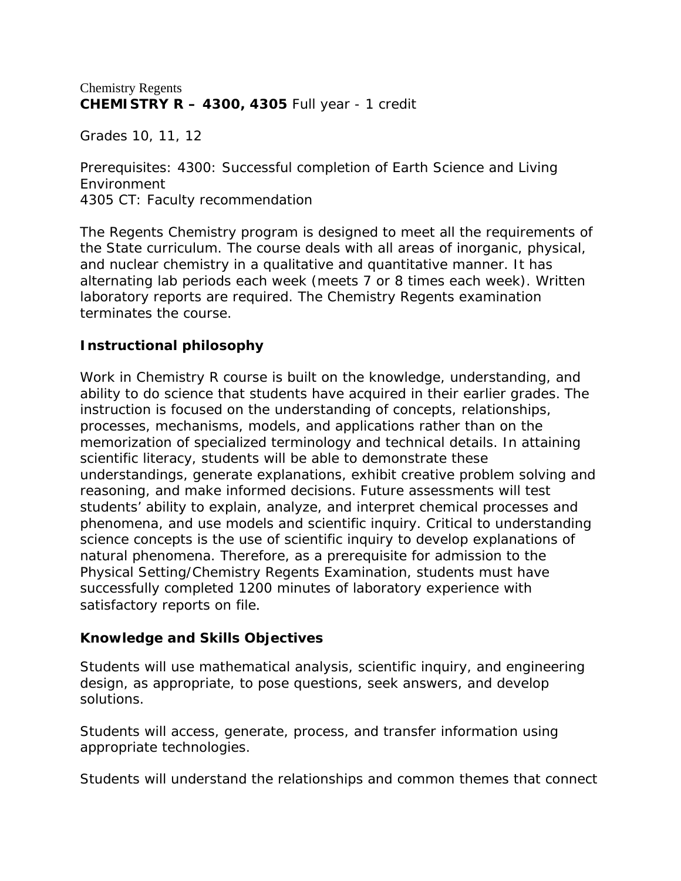## Chemistry Regents **CHEMISTRY R – 4300, 4305** Full year - 1 credit

Grades 10, 11, 12

Prerequisites: 4300: Successful completion of Earth Science and Living Environment 4305 CT: Faculty recommendation

The Regents Chemistry program is designed to meet all the requirements of the State curriculum. The course deals with all areas of inorganic, physical, and nuclear chemistry in a qualitative and quantitative manner. It has alternating lab periods each week (meets 7 or 8 times each week). Written laboratory reports are required. The Chemistry Regents examination terminates the course.

# **Instructional philosophy**

Work in Chemistry R course is built on the knowledge, understanding, and ability to do science that students have acquired in their earlier grades. The instruction is focused on the understanding of concepts, relationships, processes, mechanisms, models, and applications rather than on the memorization of specialized terminology and technical details. In attaining scientific literacy, students will be able to demonstrate these understandings, generate explanations, exhibit creative problem solving and reasoning, and make informed decisions. Future assessments will test students' ability to explain, analyze, and interpret chemical processes and phenomena, and use models and scientific inquiry. Critical to understanding science concepts is the use of scientific inquiry to develop explanations of natural phenomena. Therefore, as a prerequisite for admission to the Physical Setting/Chemistry Regents Examination, students must have successfully completed 1200 minutes of laboratory experience with satisfactory reports on file.

## **Knowledge and Skills Objectives**

Students will use mathematical analysis, scientific inquiry, and engineering design, as appropriate, to pose questions, seek answers, and develop solutions.

Students will access, generate, process, and transfer information using appropriate technologies.

Students will understand the relationships and common themes that connect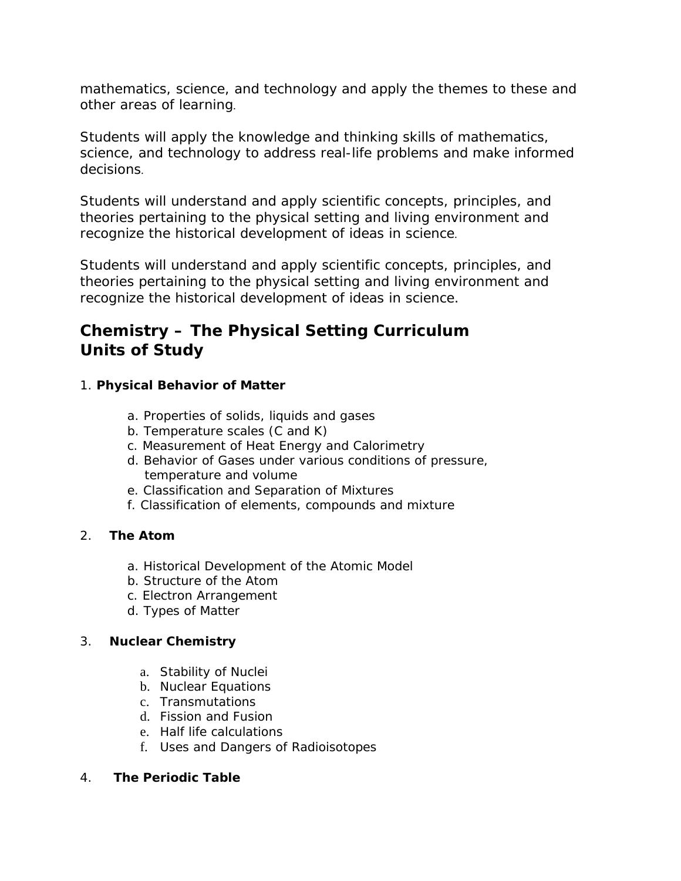mathematics, science, and technology and apply the themes to these and other areas of learning.

Students will apply the knowledge and thinking skills of mathematics, science, and technology to address real-life problems and make informed decisions.

Students will understand and apply scientific concepts, principles, and theories pertaining to the physical setting and living environment and recognize the historical development of ideas in science.

Students will understand and apply scientific concepts, principles, and theories pertaining to the physical setting and living environment and recognize the historical development of ideas in science.

# **Chemistry – The Physical Setting Curriculum Units of Study**

# 1. **Physical Behavior of Matter**

- a. Properties of solids, liquids and gases
- b. Temperature scales (C and K)
- c. Measurement of Heat Energy and Calorimetry
- d. Behavior of Gases under various conditions of pressure, temperature and volume
- e. Classification and Separation of Mixtures
- f. Classification of elements, compounds and mixture

# 2. **The Atom**

- a. Historical Development of the Atomic Model
- b. Structure of the Atom
- c. Electron Arrangement
- d. Types of Matter

## 3. **Nuclear Chemistry**

- a. Stability of Nuclei
- b. Nuclear Equations
- c. Transmutations
- d. Fission and Fusion
- e. Half life calculations
- f. Uses and Dangers of Radioisotopes

## 4. **The Periodic Table**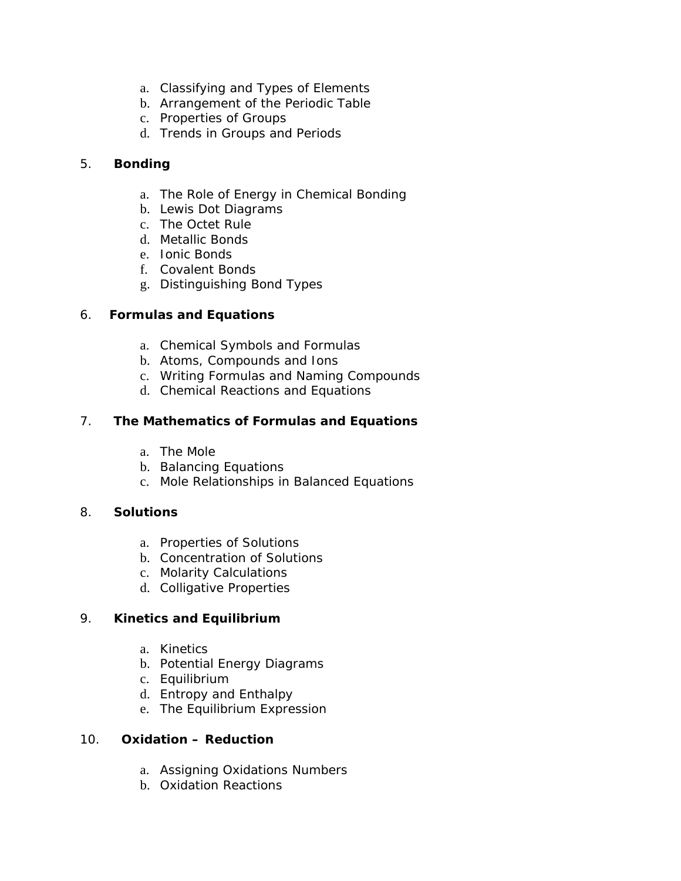- a. Classifying and Types of Elements
- b. Arrangement of the Periodic Table
- c. Properties of Groups
- d. Trends in Groups and Periods

## 5. **Bonding**

- a. The Role of Energy in Chemical Bonding
- b. Lewis Dot Diagrams
- c. The Octet Rule
- d. Metallic Bonds
- e. Ionic Bonds
- f. Covalent Bonds
- g. Distinguishing Bond Types

## 6. **Formulas and Equations**

- a. Chemical Symbols and Formulas
- b. Atoms, Compounds and Ions
- c. Writing Formulas and Naming Compounds
- d. Chemical Reactions and Equations

## 7. **The Mathematics of Formulas and Equations**

- a. The Mole
- b. Balancing Equations
- c. Mole Relationships in Balanced Equations

## 8. **Solutions**

- a. Properties of Solutions
- b. Concentration of Solutions
- c. Molarity Calculations
- d. Colligative Properties

# 9. **Kinetics and Equilibrium**

- a. Kinetics
- b. Potential Energy Diagrams
- c. Equilibrium
- d. Entropy and Enthalpy
- e. The Equilibrium Expression

## 10. **Oxidation – Reduction**

- a. Assigning Oxidations Numbers
- b. Oxidation Reactions